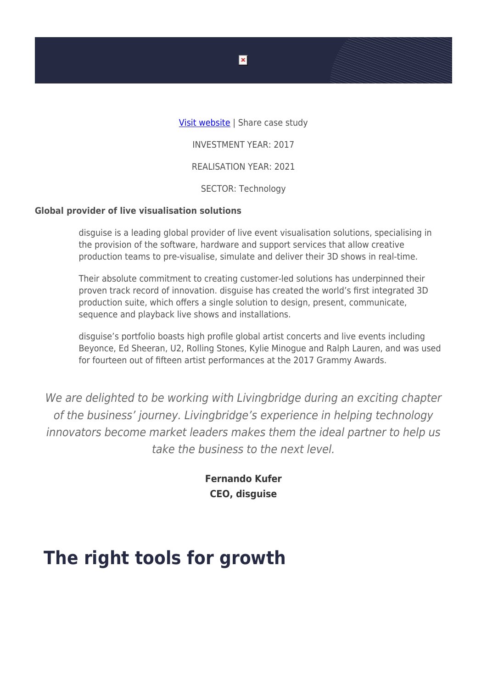[Visit website](https://www.disguise.one/en/) | Share case study INVESTMENT YEAR: 2017 REALISATION YEAR: 2021 SECTOR: Technology

## **Global provider of live visualisation solutions**

disguise is a leading global provider of live event visualisation solutions, specialising in the provision of the software, hardware and support services that allow creative production teams to pre-visualise, simulate and deliver their 3D shows in real-time.

Their absolute commitment to creating customer-led solutions has underpinned their proven track record of innovation. disguise has created the world's first integrated 3D production suite, which offers a single solution to design, present, communicate, sequence and playback live shows and installations.

disguise's portfolio boasts high profile global artist concerts and live events including Beyonce, Ed Sheeran, U2, Rolling Stones, Kylie Minogue and Ralph Lauren, and was used for fourteen out of fifteen artist performances at the 2017 Grammy Awards.

We are delighted to be working with Livingbridge during an exciting chapter of the business' journey. Livingbridge's experience in helping technology innovators become market leaders makes them the ideal partner to help us take the business to the next level.

> **Fernando Kufer CEO, disguise**

## **The right tools for growth**

 $\pmb{\times}$